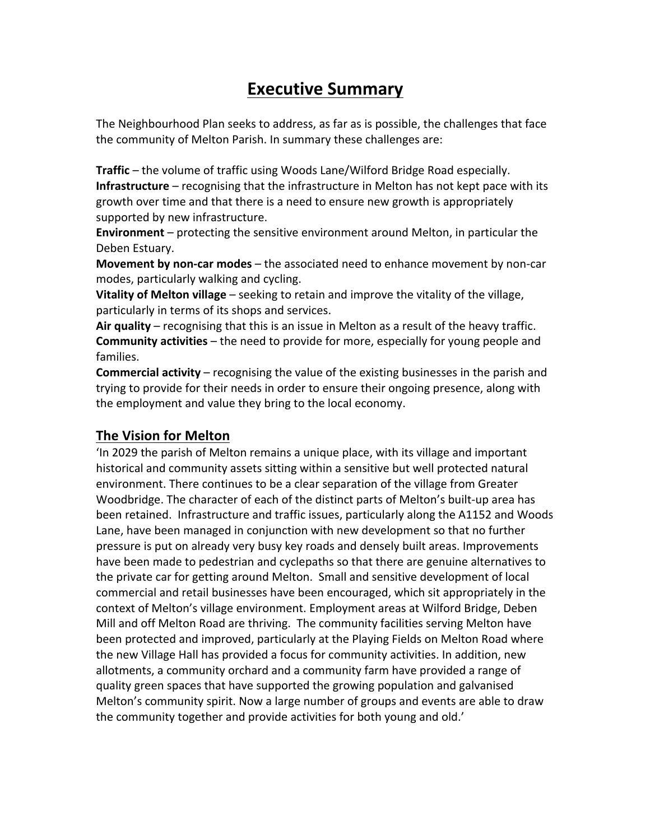# **Executive Summary**

The Neighbourhood Plan seeks to address, as far as is possible, the challenges that face the community of Melton Parish. In summary these challenges are:

**Traffic** – the volume of traffic using Woods Lane/Wilford Bridge Road especially. **Infrastructure** – recognising that the infrastructure in Melton has not kept pace with its growth over time and that there is a need to ensure new growth is appropriately supported by new infrastructure.

**Environment** – protecting the sensitive environment around Melton, in particular the Deben Estuary.

**Movement by non-car modes** – the associated need to enhance movement by non-car modes, particularly walking and cycling.

**Vitality of Melton village** – seeking to retain and improve the vitality of the village, particularly in terms of its shops and services.

Air quality – recognising that this is an issue in Melton as a result of the heavy traffic. **Community activities** – the need to provide for more, especially for young people and families.

**Commercial activity** – recognising the value of the existing businesses in the parish and trying to provide for their needs in order to ensure their ongoing presence, along with the employment and value they bring to the local economy.

## **The Vision for Melton**

In 2029 the parish of Melton remains a unique place, with its village and important historical and community assets sitting within a sensitive but well protected natural environment. There continues to be a clear separation of the village from Greater Woodbridge. The character of each of the distinct parts of Melton's built-up area has been retained. Infrastructure and traffic issues, particularly along the A1152 and Woods Lane, have been managed in conjunction with new development so that no further pressure is put on already very busy key roads and densely built areas. Improvements have been made to pedestrian and cyclepaths so that there are genuine alternatives to the private car for getting around Melton. Small and sensitive development of local commercial and retail businesses have been encouraged, which sit appropriately in the context of Melton's village environment. Employment areas at Wilford Bridge, Deben Mill and off Melton Road are thriving. The community facilities serving Melton have been protected and improved, particularly at the Playing Fields on Melton Road where the new Village Hall has provided a focus for community activities. In addition, new allotments, a community orchard and a community farm have provided a range of quality green spaces that have supported the growing population and galvanised Melton's community spirit. Now a large number of groups and events are able to draw the community together and provide activities for both young and old.'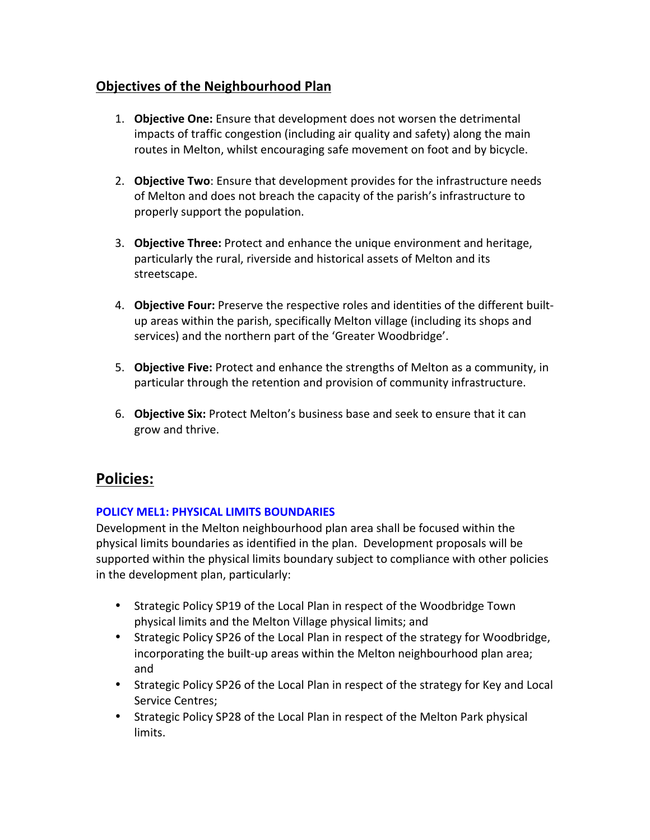## **Objectives of the Neighbourhood Plan**

- 1. **Objective One:** Ensure that development does not worsen the detrimental impacts of traffic congestion (including air quality and safety) along the main routes in Melton, whilst encouraging safe movement on foot and by bicycle.
- 2. **Objective Two**: Ensure that development provides for the infrastructure needs of Melton and does not breach the capacity of the parish's infrastructure to properly support the population.
- 3. **Objective Three:** Protect and enhance the unique environment and heritage, particularly the rural, riverside and historical assets of Melton and its streetscape.
- 4. **Objective Four:** Preserve the respective roles and identities of the different builtup areas within the parish, specifically Melton village (including its shops and services) and the northern part of the 'Greater Woodbridge'.
- 5. **Objective Five:** Protect and enhance the strengths of Melton as a community, in particular through the retention and provision of community infrastructure.
- 6. **Objective Six:** Protect Melton's business base and seek to ensure that it can grow and thrive.

## **Policies:**

## **POLICY MEL1: PHYSICAL LIMITS BOUNDARIES**

Development in the Melton neighbourhood plan area shall be focused within the physical limits boundaries as identified in the plan. Development proposals will be supported within the physical limits boundary subject to compliance with other policies in the development plan, particularly:

- Strategic Policy SP19 of the Local Plan in respect of the Woodbridge Town physical limits and the Melton Village physical limits; and
- Strategic Policy SP26 of the Local Plan in respect of the strategy for Woodbridge, incorporating the built-up areas within the Melton neighbourhood plan area; and
- Strategic Policy SP26 of the Local Plan in respect of the strategy for Key and Local Service Centres;
- Strategic Policy SP28 of the Local Plan in respect of the Melton Park physical limits.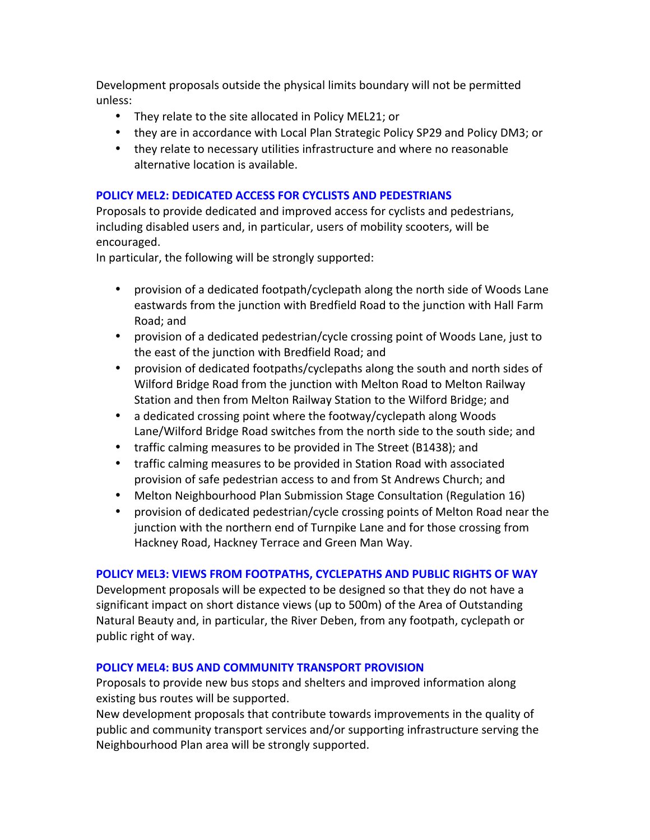Development proposals outside the physical limits boundary will not be permitted unless: 

- They relate to the site allocated in Policy MEL21; or
- they are in accordance with Local Plan Strategic Policy SP29 and Policy DM3; or
- they relate to necessary utilities infrastructure and where no reasonable alternative location is available.

## **POLICY MEL2: DEDICATED ACCESS FOR CYCLISTS AND PEDESTRIANS**

Proposals to provide dedicated and improved access for cyclists and pedestrians, including disabled users and, in particular, users of mobility scooters, will be encouraged. 

In particular, the following will be strongly supported:

- provision of a dedicated footpath/cyclepath along the north side of Woods Lane eastwards from the junction with Bredfield Road to the junction with Hall Farm Road; and
- provision of a dedicated pedestrian/cycle crossing point of Woods Lane, just to the east of the junction with Bredfield Road; and
- provision of dedicated footpaths/cyclepaths along the south and north sides of Wilford Bridge Road from the junction with Melton Road to Melton Railway Station and then from Melton Railway Station to the Wilford Bridge; and
- a dedicated crossing point where the footway/cyclepath along Woods Lane/Wilford Bridge Road switches from the north side to the south side; and
- traffic calming measures to be provided in The Street (B1438); and
- traffic calming measures to be provided in Station Road with associated provision of safe pedestrian access to and from St Andrews Church; and
- Melton Neighbourhood Plan Submission Stage Consultation (Regulation 16)
- provision of dedicated pedestrian/cycle crossing points of Melton Road near the junction with the northern end of Turnpike Lane and for those crossing from Hackney Road, Hackney Terrace and Green Man Way.

## **POLICY MEL3: VIEWS FROM FOOTPATHS, CYCLEPATHS AND PUBLIC RIGHTS OF WAY**

Development proposals will be expected to be designed so that they do not have a significant impact on short distance views (up to 500m) of the Area of Outstanding Natural Beauty and, in particular, the River Deben, from any footpath, cyclepath or public right of way.

## **POLICY MEL4: BUS AND COMMUNITY TRANSPORT PROVISION**

Proposals to provide new bus stops and shelters and improved information along existing bus routes will be supported.

New development proposals that contribute towards improvements in the quality of public and community transport services and/or supporting infrastructure serving the Neighbourhood Plan area will be strongly supported.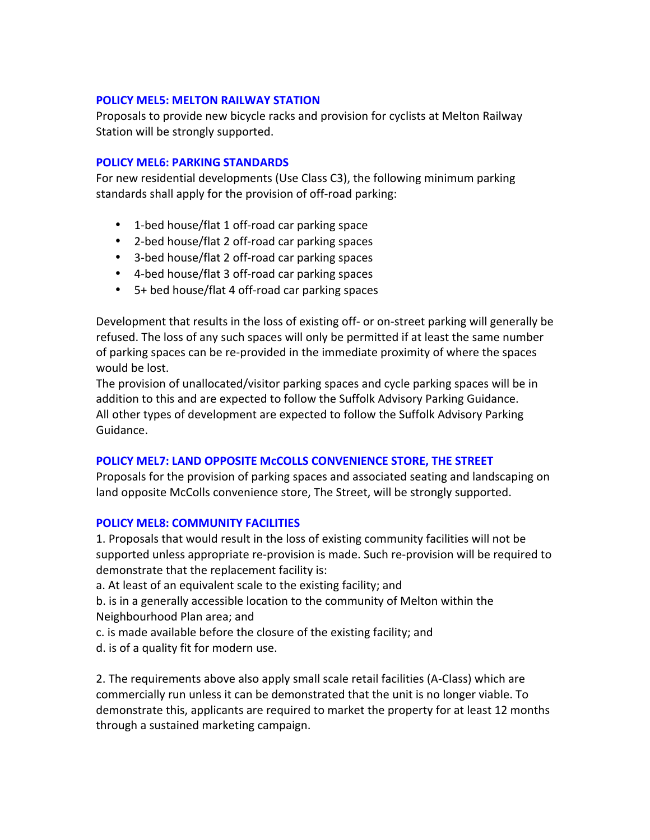## **POLICY MEL5: MELTON RAILWAY STATION**

Proposals to provide new bicycle racks and provision for cyclists at Melton Railway Station will be strongly supported.

#### **POLICY MEL6: PARKING STANDARDS**

For new residential developments (Use Class C3), the following minimum parking standards shall apply for the provision of off-road parking:

- 1-bed house/flat 1 off-road car parking space
- 2-bed house/flat 2 off-road car parking spaces
- 3-bed house/flat 2 off-road car parking spaces
- 4-bed house/flat 3 off-road car parking spaces
- $\bullet$  5+ bed house/flat 4 off-road car parking spaces

Development that results in the loss of existing off- or on-street parking will generally be refused. The loss of any such spaces will only be permitted if at least the same number of parking spaces can be re-provided in the immediate proximity of where the spaces would be lost.

The provision of unallocated/visitor parking spaces and cycle parking spaces will be in addition to this and are expected to follow the Suffolk Advisory Parking Guidance. All other types of development are expected to follow the Suffolk Advisory Parking Guidance.

## **POLICY MEL7: LAND OPPOSITE McCOLLS CONVENIENCE STORE, THE STREET**

Proposals for the provision of parking spaces and associated seating and landscaping on land opposite McColls convenience store, The Street, will be strongly supported.

#### **POLICY MEL8: COMMUNITY FACILITIES**

1. Proposals that would result in the loss of existing community facilities will not be supported unless appropriate re-provision is made. Such re-provision will be required to demonstrate that the replacement facility is:

a. At least of an equivalent scale to the existing facility; and

b. is in a generally accessible location to the community of Melton within the Neighbourhood Plan area; and

- c. is made available before the closure of the existing facility; and
- d. is of a quality fit for modern use.

2. The requirements above also apply small scale retail facilities (A-Class) which are commercially run unless it can be demonstrated that the unit is no longer viable. To demonstrate this, applicants are required to market the property for at least 12 months through a sustained marketing campaign.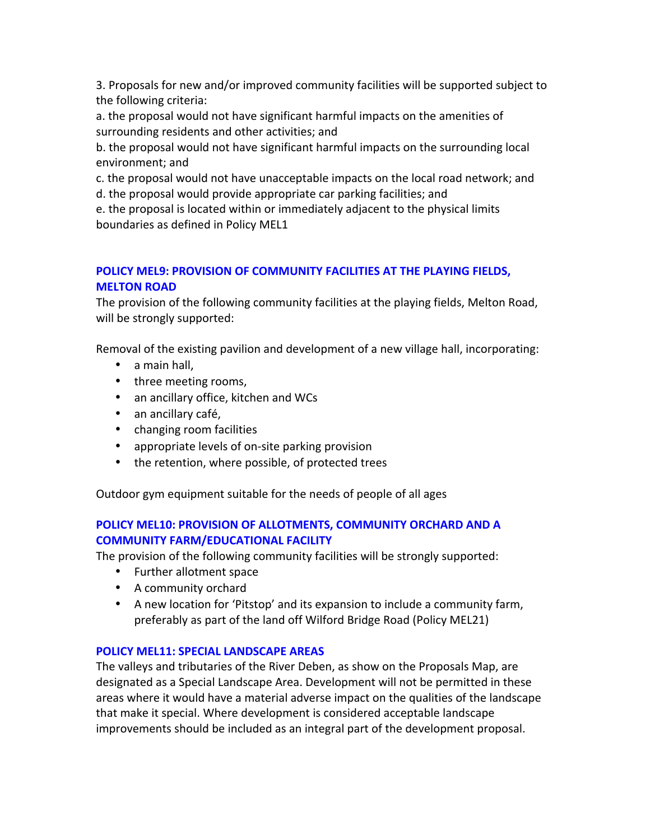3. Proposals for new and/or improved community facilities will be supported subject to the following criteria:

a. the proposal would not have significant harmful impacts on the amenities of surrounding residents and other activities; and

b. the proposal would not have significant harmful impacts on the surrounding local environment; and

c. the proposal would not have unacceptable impacts on the local road network; and

d. the proposal would provide appropriate car parking facilities; and

e. the proposal is located within or immediately adjacent to the physical limits boundaries as defined in Policy MEL1

## **POLICY MEL9: PROVISION OF COMMUNITY FACILITIES AT THE PLAYING FIELDS, MELTON ROAD**

The provision of the following community facilities at the playing fields, Melton Road, will be strongly supported:

Removal of the existing pavilion and development of a new village hall, incorporating:

- $\bullet$  a main hall.
- three meeting rooms,
- an ancillary office, kitchen and WCs
- an ancillary café,
- changing room facilities
- appropriate levels of on-site parking provision
- the retention, where possible, of protected trees

Outdoor gym equipment suitable for the needs of people of all ages

## **POLICY MEL10: PROVISION OF ALLOTMENTS, COMMUNITY ORCHARD AND A COMMUNITY FARM/EDUCATIONAL FACILITY**

The provision of the following community facilities will be strongly supported:

- Further allotment space
- A community orchard
- A new location for 'Pitstop' and its expansion to include a community farm, preferably as part of the land off Wilford Bridge Road (Policy MEL21)

## **POLICY MEL11: SPECIAL LANDSCAPE AREAS**

The valleys and tributaries of the River Deben, as show on the Proposals Map, are designated as a Special Landscape Area. Development will not be permitted in these areas where it would have a material adverse impact on the qualities of the landscape that make it special. Where development is considered acceptable landscape improvements should be included as an integral part of the development proposal.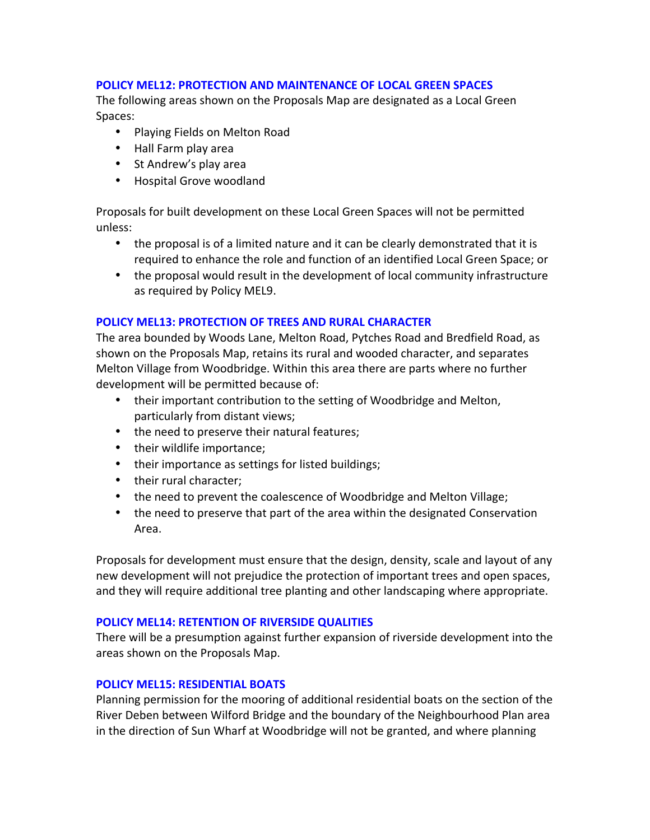## **POLICY MEL12: PROTECTION AND MAINTENANCE OF LOCAL GREEN SPACES**

The following areas shown on the Proposals Map are designated as a Local Green Spaces: 

- Playing Fields on Melton Road
- Hall Farm play area
- St Andrew's play area
- Hospital Grove woodland

Proposals for built development on these Local Green Spaces will not be permitted unless: 

- the proposal is of a limited nature and it can be clearly demonstrated that it is required to enhance the role and function of an identified Local Green Space; or
- the proposal would result in the development of local community infrastructure as required by Policy MEL9.

## **POLICY MEL13: PROTECTION OF TREES AND RURAL CHARACTER**

The area bounded by Woods Lane, Melton Road, Pytches Road and Bredfield Road, as shown on the Proposals Map, retains its rural and wooded character, and separates Melton Village from Woodbridge. Within this area there are parts where no further development will be permitted because of:

- their important contribution to the setting of Woodbridge and Melton, particularly from distant views;
- the need to preserve their natural features;
- their wildlife importance;
- their importance as settings for listed buildings;
- their rural character;
- the need to prevent the coalescence of Woodbridge and Melton Village;
- the need to preserve that part of the area within the designated Conservation Area.

Proposals for development must ensure that the design, density, scale and layout of any new development will not prejudice the protection of important trees and open spaces, and they will require additional tree planting and other landscaping where appropriate.

#### **POLICY MEL14: RETENTION OF RIVERSIDE QUALITIES**

There will be a presumption against further expansion of riverside development into the areas shown on the Proposals Map.

#### **POLICY MEL15: RESIDENTIAL BOATS**

Planning permission for the mooring of additional residential boats on the section of the River Deben between Wilford Bridge and the boundary of the Neighbourhood Plan area in the direction of Sun Wharf at Woodbridge will not be granted, and where planning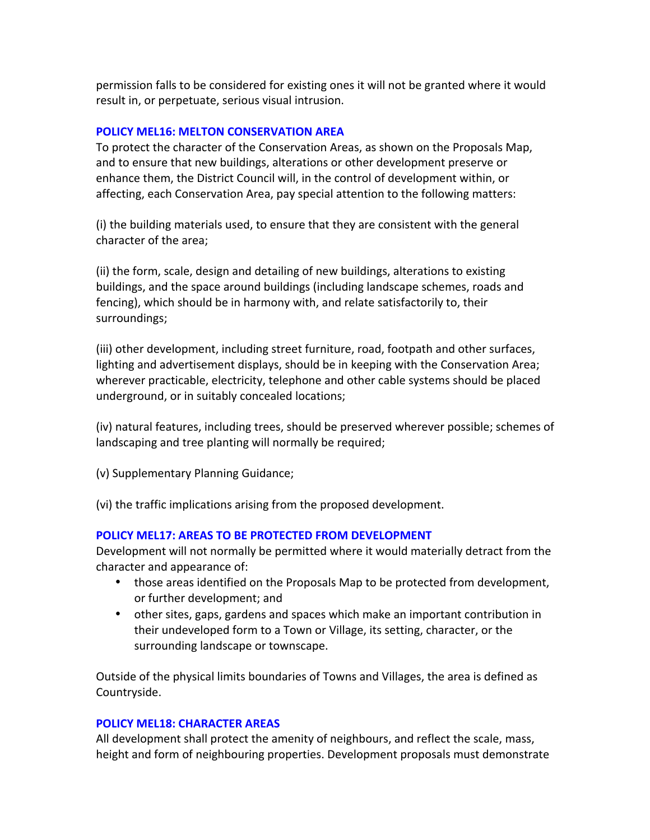permission falls to be considered for existing ones it will not be granted where it would result in, or perpetuate, serious visual intrusion.

## **POLICY MEL16: MELTON CONSERVATION AREA**

To protect the character of the Conservation Areas, as shown on the Proposals Map, and to ensure that new buildings, alterations or other development preserve or enhance them, the District Council will, in the control of development within, or affecting, each Conservation Area, pay special attention to the following matters:

(i) the building materials used, to ensure that they are consistent with the general character of the area;

(ii) the form, scale, design and detailing of new buildings, alterations to existing buildings, and the space around buildings (including landscape schemes, roads and fencing), which should be in harmony with, and relate satisfactorily to, their surroundings; 

(iii) other development, including street furniture, road, footpath and other surfaces, lighting and advertisement displays, should be in keeping with the Conservation Area; wherever practicable, electricity, telephone and other cable systems should be placed underground, or in suitably concealed locations;

(iv) natural features, including trees, should be preserved wherever possible; schemes of landscaping and tree planting will normally be required;

(v) Supplementary Planning Guidance;

(vi) the traffic implications arising from the proposed development.

#### **POLICY MEL17: AREAS TO BE PROTECTED FROM DEVELOPMENT**

Development will not normally be permitted where it would materially detract from the character and appearance of:

- those areas identified on the Proposals Map to be protected from development, or further development; and
- other sites, gaps, gardens and spaces which make an important contribution in their undeveloped form to a Town or Village, its setting, character, or the surrounding landscape or townscape.

Outside of the physical limits boundaries of Towns and Villages, the area is defined as Countryside.

#### **POLICY MEL18: CHARACTER AREAS**

All development shall protect the amenity of neighbours, and reflect the scale, mass, height and form of neighbouring properties. Development proposals must demonstrate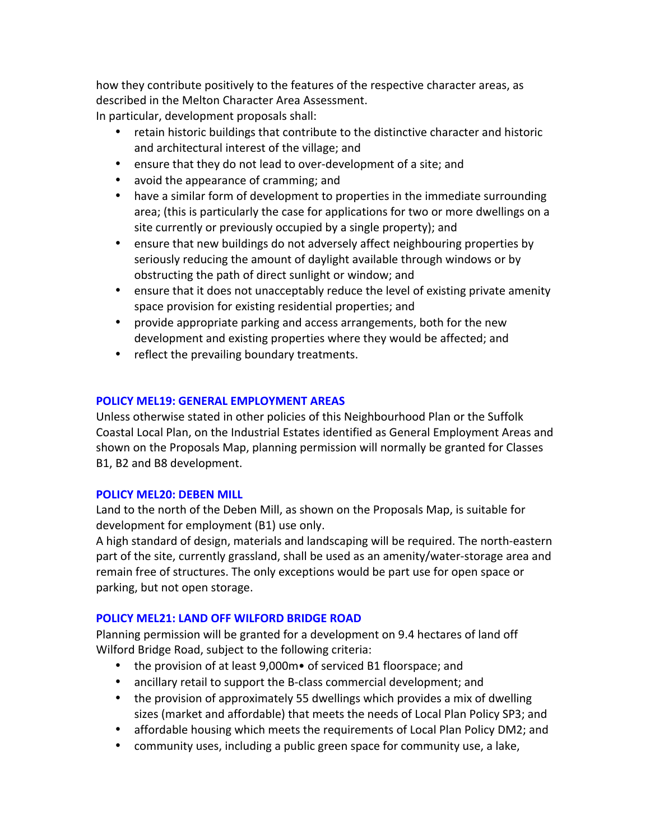how they contribute positively to the features of the respective character areas, as described in the Melton Character Area Assessment. In particular, development proposals shall:

- retain historic buildings that contribute to the distinctive character and historic and architectural interest of the village; and
- ensure that they do not lead to over-development of a site; and
- avoid the appearance of cramming; and
- have a similar form of development to properties in the immediate surrounding area; (this is particularly the case for applications for two or more dwellings on a site currently or previously occupied by a single property); and
- ensure that new buildings do not adversely affect neighbouring properties by seriously reducing the amount of daylight available through windows or by obstructing the path of direct sunlight or window; and
- ensure that it does not unacceptably reduce the level of existing private amenity space provision for existing residential properties; and
- provide appropriate parking and access arrangements, both for the new development and existing properties where they would be affected; and
- reflect the prevailing boundary treatments.

#### **POLICY MEL19: GENERAL EMPLOYMENT AREAS**

Unless otherwise stated in other policies of this Neighbourhood Plan or the Suffolk Coastal Local Plan, on the Industrial Estates identified as General Employment Areas and shown on the Proposals Map, planning permission will normally be granted for Classes B1, B2 and B8 development.

#### **POLICY MEL20: DEBEN MILL**

Land to the north of the Deben Mill, as shown on the Proposals Map, is suitable for development for employment (B1) use only.

A high standard of design, materials and landscaping will be required. The north-eastern part of the site, currently grassland, shall be used as an amenity/water-storage area and remain free of structures. The only exceptions would be part use for open space or parking, but not open storage.

#### **POLICY MEL21: LAND OFF WILFORD BRIDGE ROAD**

Planning permission will be granted for a development on 9.4 hectares of land off Wilford Bridge Road, subject to the following criteria:

- the provision of at least  $9,000$ m $\bullet$  of serviced B1 floorspace; and
- ancillary retail to support the B-class commercial development; and
- the provision of approximately 55 dwellings which provides a mix of dwelling sizes (market and affordable) that meets the needs of Local Plan Policy SP3; and
- affordable housing which meets the requirements of Local Plan Policy DM2; and
- community uses, including a public green space for community use, a lake,